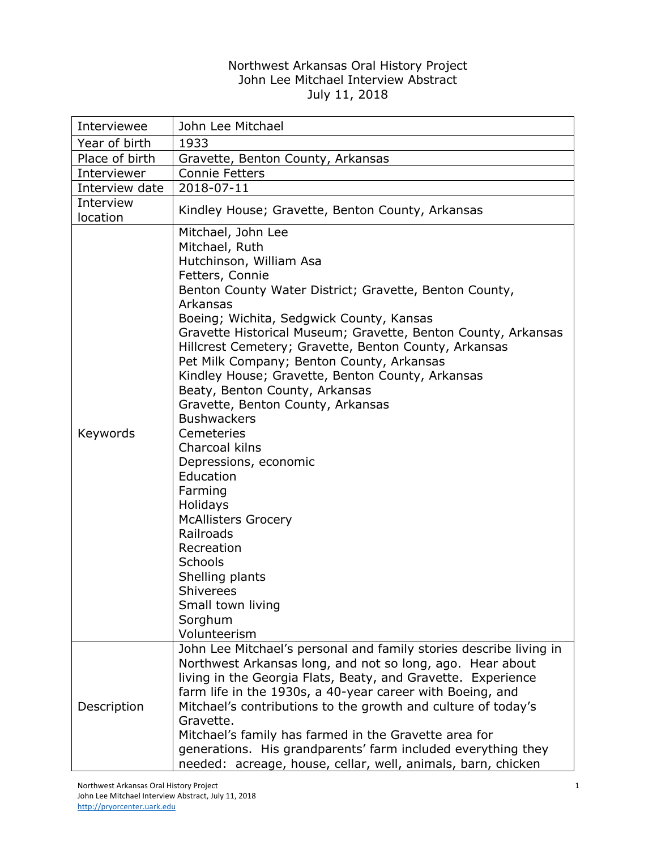## Northwest Arkansas Oral History Project John Lee Mitchael Interview Abstract July 11, 2018

| Interviewee           | John Lee Mitchael                                                                                                                                                                                                                                                                                                                                                                                                                                                                                                                                                                                                                                                                                                                                                                                                                                          |
|-----------------------|------------------------------------------------------------------------------------------------------------------------------------------------------------------------------------------------------------------------------------------------------------------------------------------------------------------------------------------------------------------------------------------------------------------------------------------------------------------------------------------------------------------------------------------------------------------------------------------------------------------------------------------------------------------------------------------------------------------------------------------------------------------------------------------------------------------------------------------------------------|
| Year of birth         | 1933                                                                                                                                                                                                                                                                                                                                                                                                                                                                                                                                                                                                                                                                                                                                                                                                                                                       |
| Place of birth        | Gravette, Benton County, Arkansas                                                                                                                                                                                                                                                                                                                                                                                                                                                                                                                                                                                                                                                                                                                                                                                                                          |
| Interviewer           | <b>Connie Fetters</b>                                                                                                                                                                                                                                                                                                                                                                                                                                                                                                                                                                                                                                                                                                                                                                                                                                      |
| Interview date        | 2018-07-11                                                                                                                                                                                                                                                                                                                                                                                                                                                                                                                                                                                                                                                                                                                                                                                                                                                 |
| Interview<br>location | Kindley House; Gravette, Benton County, Arkansas                                                                                                                                                                                                                                                                                                                                                                                                                                                                                                                                                                                                                                                                                                                                                                                                           |
| Keywords              | Mitchael, John Lee<br>Mitchael, Ruth<br>Hutchinson, William Asa<br>Fetters, Connie<br>Benton County Water District; Gravette, Benton County,<br>Arkansas<br>Boeing; Wichita, Sedgwick County, Kansas<br>Gravette Historical Museum; Gravette, Benton County, Arkansas<br>Hillcrest Cemetery; Gravette, Benton County, Arkansas<br>Pet Milk Company; Benton County, Arkansas<br>Kindley House; Gravette, Benton County, Arkansas<br>Beaty, Benton County, Arkansas<br>Gravette, Benton County, Arkansas<br><b>Bushwackers</b><br>Cemeteries<br>Charcoal kilns<br>Depressions, economic<br>Education<br>Farming<br>Holidays<br><b>McAllisters Grocery</b><br>Railroads<br>Recreation<br>Schools<br>Shelling plants<br><b>Shiverees</b><br>Small town living<br>Sorghum<br>Volunteerism<br>John Lee Mitchael's personal and family stories describe living in |
| Description           | Northwest Arkansas long, and not so long, ago. Hear about<br>living in the Georgia Flats, Beaty, and Gravette. Experience<br>farm life in the 1930s, a 40-year career with Boeing, and<br>Mitchael's contributions to the growth and culture of today's<br>Gravette.<br>Mitchael's family has farmed in the Gravette area for<br>generations. His grandparents' farm included everything they<br>needed: acreage, house, cellar, well, animals, barn, chicken                                                                                                                                                                                                                                                                                                                                                                                              |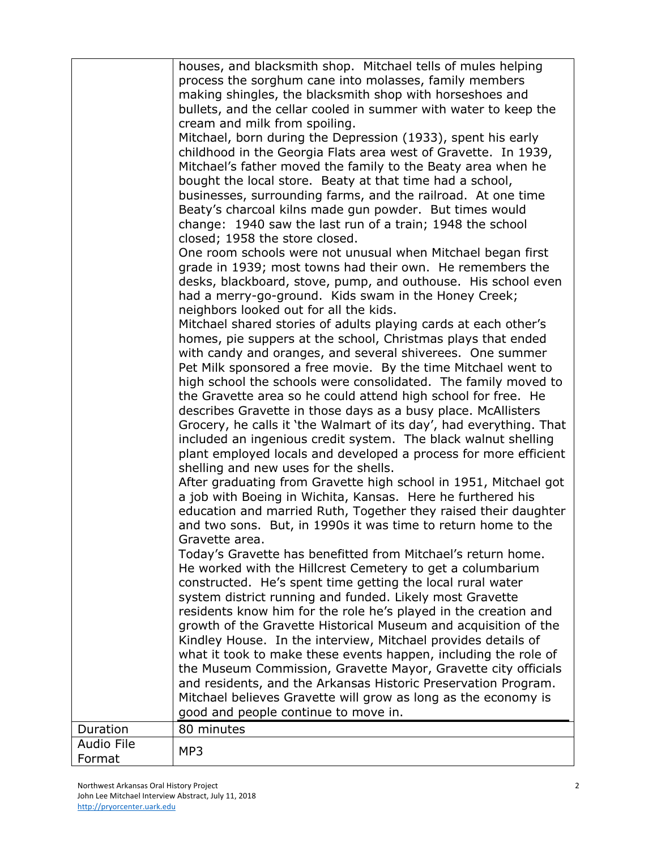|                   | houses, and blacksmith shop. Mitchael tells of mules helping        |
|-------------------|---------------------------------------------------------------------|
|                   | process the sorghum cane into molasses, family members              |
|                   | making shingles, the blacksmith shop with horseshoes and            |
|                   | bullets, and the cellar cooled in summer with water to keep the     |
|                   | cream and milk from spoiling.                                       |
|                   | Mitchael, born during the Depression (1933), spent his early        |
|                   | childhood in the Georgia Flats area west of Gravette. In 1939,      |
|                   | Mitchael's father moved the family to the Beaty area when he        |
|                   | bought the local store. Beaty at that time had a school,            |
|                   | businesses, surrounding farms, and the railroad. At one time        |
|                   | Beaty's charcoal kilns made gun powder. But times would             |
|                   | change: 1940 saw the last run of a train; 1948 the school           |
|                   | closed; 1958 the store closed.                                      |
|                   | One room schools were not unusual when Mitchael began first         |
|                   | grade in 1939; most towns had their own. He remembers the           |
|                   | desks, blackboard, stove, pump, and outhouse. His school even       |
|                   | had a merry-go-ground. Kids swam in the Honey Creek;                |
|                   | neighbors looked out for all the kids.                              |
|                   | Mitchael shared stories of adults playing cards at each other's     |
|                   | homes, pie suppers at the school, Christmas plays that ended        |
|                   | with candy and oranges, and several shiverees. One summer           |
|                   | Pet Milk sponsored a free movie. By the time Mitchael went to       |
|                   | high school the schools were consolidated. The family moved to      |
|                   | the Gravette area so he could attend high school for free. He       |
|                   | describes Gravette in those days as a busy place. McAllisters       |
|                   | Grocery, he calls it 'the Walmart of its day', had everything. That |
|                   | included an ingenious credit system. The black walnut shelling      |
|                   | plant employed locals and developed a process for more efficient    |
|                   | shelling and new uses for the shells.                               |
|                   | After graduating from Gravette high school in 1951, Mitchael got    |
|                   | a job with Boeing in Wichita, Kansas. Here he furthered his         |
|                   | education and married Ruth, Together they raised their daughter     |
|                   | and two sons. But, in 1990s it was time to return home to the       |
|                   | Gravette area.                                                      |
|                   | Today's Gravette has benefitted from Mitchael's return home.        |
|                   | He worked with the Hillcrest Cemetery to get a columbarium          |
|                   | constructed. He's spent time getting the local rural water          |
|                   | system district running and funded. Likely most Gravette            |
|                   | residents know him for the role he's played in the creation and     |
|                   | growth of the Gravette Historical Museum and acquisition of the     |
|                   | Kindley House. In the interview, Mitchael provides details of       |
|                   | what it took to make these events happen, including the role of     |
|                   | the Museum Commission, Gravette Mayor, Gravette city officials      |
|                   | and residents, and the Arkansas Historic Preservation Program.      |
|                   | Mitchael believes Gravette will grow as long as the economy is      |
|                   | good and people continue to move in.                                |
| Duration          | 80 minutes                                                          |
| <b>Audio File</b> |                                                                     |
| Format            | MP3                                                                 |